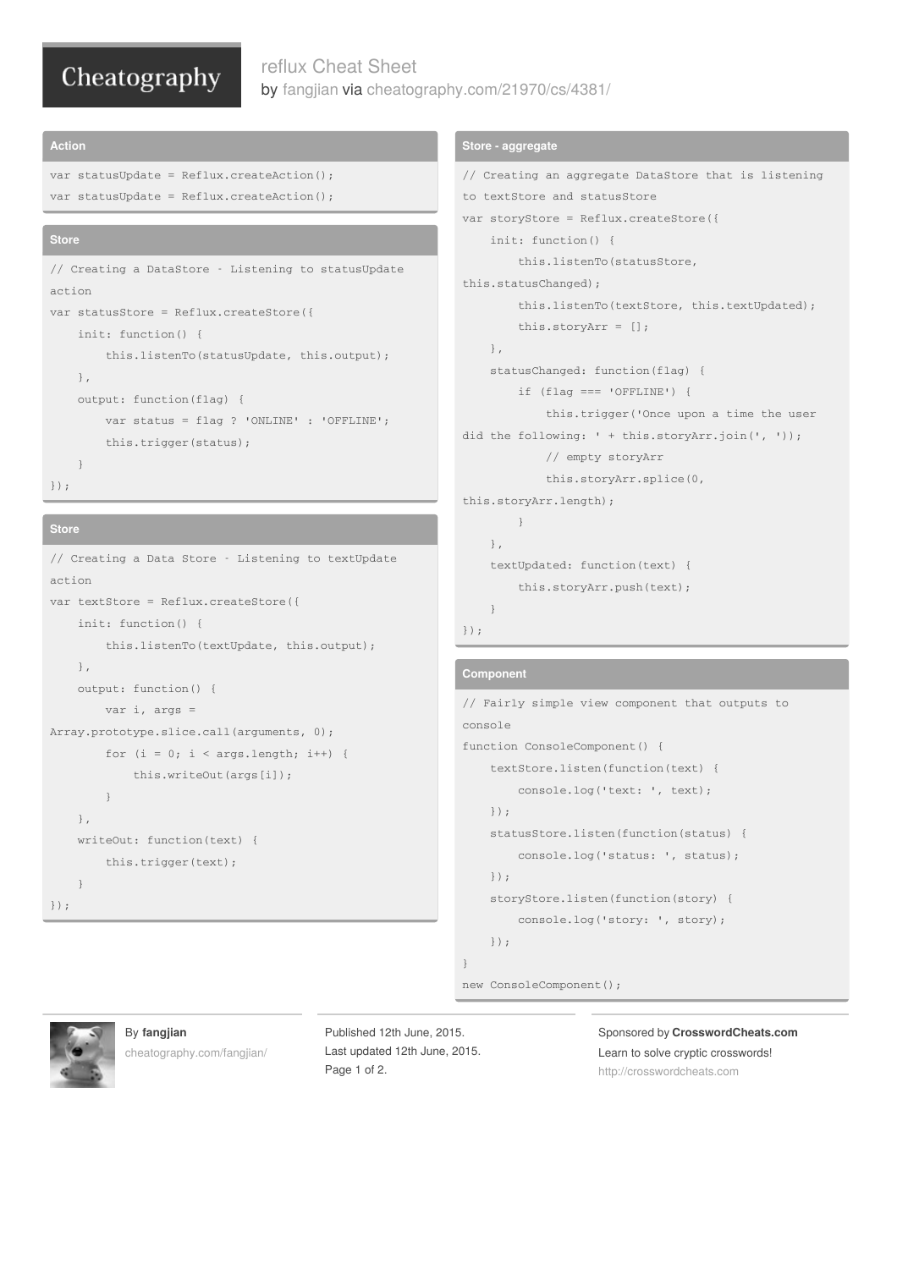# Cheatography

## reflux Cheat Sheet by [fangjian](http://www.cheatography.com/fangjian/) via [cheatography.com/21970/cs/4381/](http://www.cheatography.com/fangjian/cheat-sheets/reflux)

#### **Action**

```
var statusUpdate = Reflux.createAction();
var statusUpdate = Reflux.createAction();
```
#### **Store**

```
// Creating a DataStore - Listening to statusUpdate
action
var statusStore = Reflux.createStore({
   init: function() {
        this.listenTo(statusUpdate, this.output);
   },
   output: function(flag) {
       var status = flag ? 'ONLINE' : 'OFFLINE';
       this.trigger(status);
   }
});
```
### **Store**

```
// Creating a Data Store - Listening to textUpdate
action
var textStore = Reflux.createStore({
   init: function() {
        this.listenTo(textUpdate, this.output);
   },
   output: function() {
       var i, args =
Array.prototype.slice.call(arguments, 0);
        for (i = 0; i < arg.length; i++) {
           this.writeOut(args[i]);
       }
   },
   writeOut: function(text) {
       this.trigger(text);
    }
});
```
### **Store - aggregate**

```
// Creating an aggregate DataStore that is listening
to textStore and statusStore
var storyStore = Reflux.createStore({
   init: function() {
        this.listenTo(statusStore,
this.statusChanged);
        this.listenTo(textStore, this.textUpdated);
        this.storyArr = [];
   },
   statusChanged: function(flag) {
        if (flag === 'OFFLINE') {
            this.trigger('Once upon a time the user
did the following: ' + this.storyArr.join(', '));
            // empty storyArr
            this.storyArr.splice(0,
this.storyArr.length);
      }
   },
    textUpdated: function(text) {
       this.storyArr.push(text);
```

```
});
```
}

#### **Component**

```
// Fairly simple view component that outputs to
console
function ConsoleComponent() {
   textStore.listen(function(text) {
        console.log('text: ', text);
   });
   statusStore.listen(function(status) {
        console.log('status: ', status);
   });
    storyStore.listen(function(story) {
        console.log('story: ', story);
   });
}
new ConsoleComponent();
```


#### By **fangjian**

[cheatography.com/fangjian/](http://www.cheatography.com/fangjian/)

Published 12th June, 2015. Last updated 12th June, 2015. Page 1 of 2.

Sponsored by **CrosswordCheats.com** Learn to solve cryptic crosswords! <http://crosswordcheats.com>